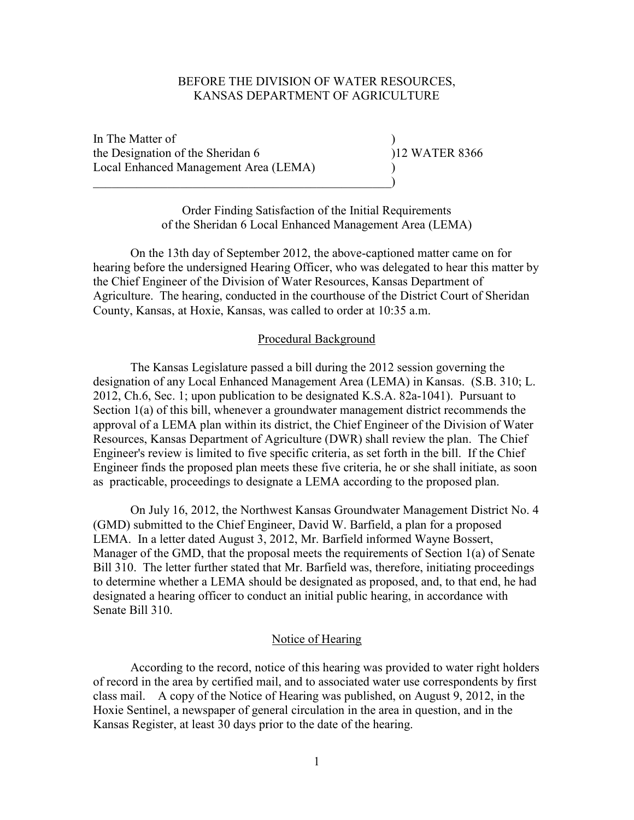### BEFORE THE DIVISION OF WATER RESOURCES, KANSAS DEPARTMENT OF AGRICULTURE

In The Matter of ) the Designation of the Sheridan 6 ) 12 WATER 8366 Local Enhanced Management Area (LEMA) )

 $\hspace{.5cm}$   $\hspace{.5cm}$   $\hspace{.5cm}$   $\hspace{.5cm}$   $\hspace{.5cm}$   $\hspace{.5cm}$   $\hspace{.5cm}$   $\hspace{.5cm}$   $\hspace{.5cm}$   $\hspace{.5cm}$   $\hspace{.5cm}$   $\hspace{.5cm}$   $\hspace{.5cm}$   $\hspace{.5cm}$   $\hspace{.5cm}$   $\hspace{.5cm}$   $\hspace{.5cm}$   $\hspace{.5cm}$   $\hspace{.5cm}$   $\hspace{.5cm}$ 

Order Finding Satisfaction of the Initial Requirements of the Sheridan 6 Local Enhanced Management Area (LEMA)

 On the 13th day of September 2012, the above-captioned matter came on for hearing before the undersigned Hearing Officer, who was delegated to hear this matter by the Chief Engineer of the Division of Water Resources, Kansas Department of Agriculture. The hearing, conducted in the courthouse of the District Court of Sheridan County, Kansas, at Hoxie, Kansas, was called to order at 10:35 a.m.

#### Procedural Background

The Kansas Legislature passed a bill during the 2012 session governing the designation of any Local Enhanced Management Area (LEMA) in Kansas. (S.B. 310; L. 2012, Ch.6, Sec. 1; upon publication to be designated K.S.A. 82a-1041). Pursuant to Section 1(a) of this bill, whenever a groundwater management district recommends the approval of a LEMA plan within its district, the Chief Engineer of the Division of Water Resources, Kansas Department of Agriculture (DWR) shall review the plan. The Chief Engineer's review is limited to five specific criteria, as set forth in the bill. If the Chief Engineer finds the proposed plan meets these five criteria, he or she shall initiate, as soon as practicable, proceedings to designate a LEMA according to the proposed plan.

 On July 16, 2012, the Northwest Kansas Groundwater Management District No. 4 (GMD) submitted to the Chief Engineer, David W. Barfield, a plan for a proposed LEMA. In a letter dated August 3, 2012, Mr. Barfield informed Wayne Bossert, Manager of the GMD, that the proposal meets the requirements of Section 1(a) of Senate Bill 310. The letter further stated that Mr. Barfield was, therefore, initiating proceedings to determine whether a LEMA should be designated as proposed, and, to that end, he had designated a hearing officer to conduct an initial public hearing, in accordance with Senate Bill 310.

#### Notice of Hearing

 According to the record, notice of this hearing was provided to water right holders of record in the area by certified mail, and to associated water use correspondents by first class mail. A copy of the Notice of Hearing was published, on August 9, 2012, in the Hoxie Sentinel, a newspaper of general circulation in the area in question, and in the Kansas Register, at least 30 days prior to the date of the hearing.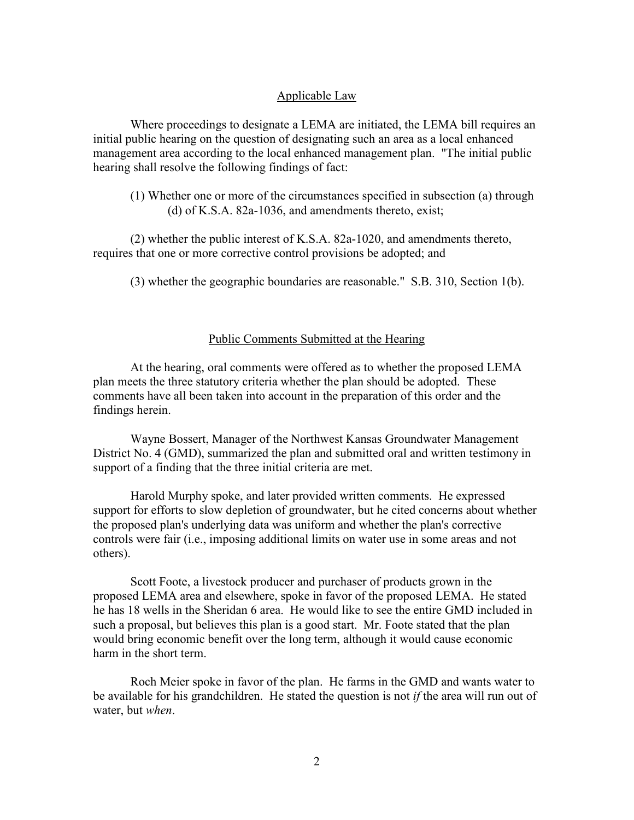#### Applicable Law

Where proceedings to designate a LEMA are initiated, the LEMA bill requires an initial public hearing on the question of designating such an area as a local enhanced management area according to the local enhanced management plan. "The initial public hearing shall resolve the following findings of fact:

(1) Whether one or more of the circumstances specified in subsection (a) through (d) of K.S.A. 82a-1036, and amendments thereto, exist;

(2) whether the public interest of K.S.A. 82a-1020, and amendments thereto, requires that one or more corrective control provisions be adopted; and

(3) whether the geographic boundaries are reasonable." S.B. 310, Section 1(b).

#### Public Comments Submitted at the Hearing

At the hearing, oral comments were offered as to whether the proposed LEMA plan meets the three statutory criteria whether the plan should be adopted. These comments have all been taken into account in the preparation of this order and the findings herein.

Wayne Bossert, Manager of the Northwest Kansas Groundwater Management District No. 4 (GMD), summarized the plan and submitted oral and written testimony in support of a finding that the three initial criteria are met.

Harold Murphy spoke, and later provided written comments. He expressed support for efforts to slow depletion of groundwater, but he cited concerns about whether the proposed plan's underlying data was uniform and whether the plan's corrective controls were fair (i.e., imposing additional limits on water use in some areas and not others).

Scott Foote, a livestock producer and purchaser of products grown in the proposed LEMA area and elsewhere, spoke in favor of the proposed LEMA. He stated he has 18 wells in the Sheridan 6 area. He would like to see the entire GMD included in such a proposal, but believes this plan is a good start. Mr. Foote stated that the plan would bring economic benefit over the long term, although it would cause economic harm in the short term.

Roch Meier spoke in favor of the plan. He farms in the GMD and wants water to be available for his grandchildren. He stated the question is not *if* the area will run out of water, but *when*.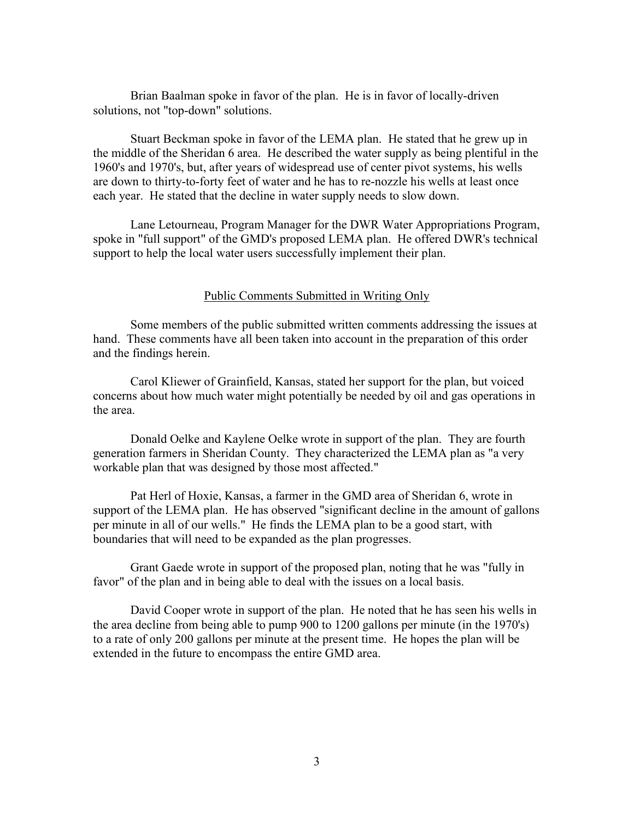Brian Baalman spoke in favor of the plan. He is in favor of locally-driven solutions, not "top-down" solutions.

Stuart Beckman spoke in favor of the LEMA plan. He stated that he grew up in the middle of the Sheridan 6 area. He described the water supply as being plentiful in the 1960's and 1970's, but, after years of widespread use of center pivot systems, his wells are down to thirty-to-forty feet of water and he has to re-nozzle his wells at least once each year. He stated that the decline in water supply needs to slow down.

Lane Letourneau, Program Manager for the DWR Water Appropriations Program, spoke in "full support" of the GMD's proposed LEMA plan. He offered DWR's technical support to help the local water users successfully implement their plan.

#### Public Comments Submitted in Writing Only

Some members of the public submitted written comments addressing the issues at hand. These comments have all been taken into account in the preparation of this order and the findings herein.

Carol Kliewer of Grainfield, Kansas, stated her support for the plan, but voiced concerns about how much water might potentially be needed by oil and gas operations in the area.

Donald Oelke and Kaylene Oelke wrote in support of the plan. They are fourth generation farmers in Sheridan County. They characterized the LEMA plan as "a very workable plan that was designed by those most affected."

Pat Herl of Hoxie, Kansas, a farmer in the GMD area of Sheridan 6, wrote in support of the LEMA plan. He has observed "significant decline in the amount of gallons per minute in all of our wells." He finds the LEMA plan to be a good start, with boundaries that will need to be expanded as the plan progresses.

Grant Gaede wrote in support of the proposed plan, noting that he was "fully in favor" of the plan and in being able to deal with the issues on a local basis.

David Cooper wrote in support of the plan. He noted that he has seen his wells in the area decline from being able to pump 900 to 1200 gallons per minute (in the 1970's) to a rate of only 200 gallons per minute at the present time. He hopes the plan will be extended in the future to encompass the entire GMD area.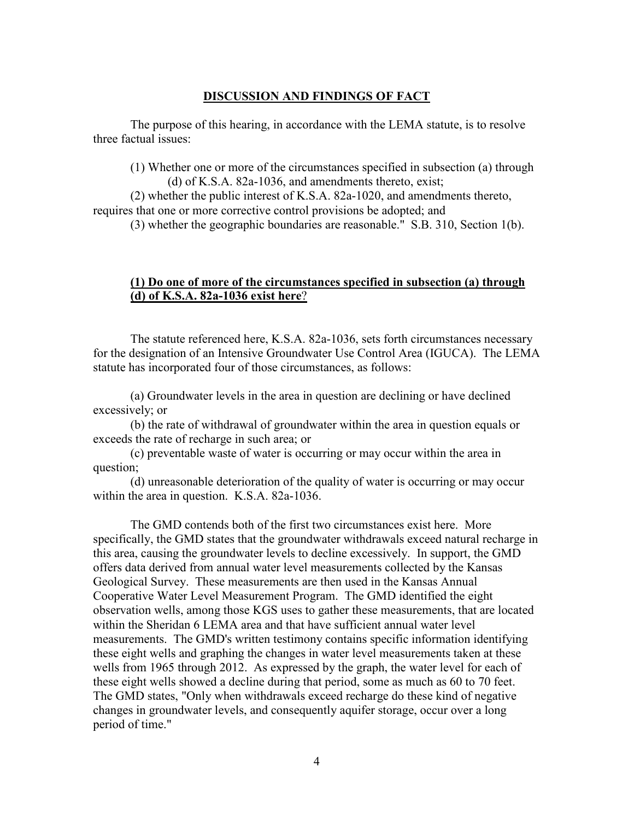### **DISCUSSION AND FINDINGS OF FACT**

 The purpose of this hearing, in accordance with the LEMA statute, is to resolve three factual issues:

(1) Whether one or more of the circumstances specified in subsection (a) through

 (d) of K.S.A. 82a-1036, and amendments thereto, exist; (2) whether the public interest of K.S.A. 82a-1020, and amendments thereto,

requires that one or more corrective control provisions be adopted; and

(3) whether the geographic boundaries are reasonable." S.B. 310, Section 1(b).

### **(1) Do one of more of the circumstances specified in subsection (a) through (d) of K.S.A. 82a-1036 exist here**?

The statute referenced here, K.S.A. 82a-1036, sets forth circumstances necessary for the designation of an Intensive Groundwater Use Control Area (IGUCA). The LEMA statute has incorporated four of those circumstances, as follows:

(a) Groundwater levels in the area in question are declining or have declined excessively; or

(b) the rate of withdrawal of groundwater within the area in question equals or exceeds the rate of recharge in such area; or

(c) preventable waste of water is occurring or may occur within the area in question;

(d) unreasonable deterioration of the quality of water is occurring or may occur within the area in question. K.S.A. 82a-1036.

The GMD contends both of the first two circumstances exist here. More specifically, the GMD states that the groundwater withdrawals exceed natural recharge in this area, causing the groundwater levels to decline excessively. In support, the GMD offers data derived from annual water level measurements collected by the Kansas Geological Survey. These measurements are then used in the Kansas Annual Cooperative Water Level Measurement Program. The GMD identified the eight observation wells, among those KGS uses to gather these measurements, that are located within the Sheridan 6 LEMA area and that have sufficient annual water level measurements. The GMD's written testimony contains specific information identifying these eight wells and graphing the changes in water level measurements taken at these wells from 1965 through 2012. As expressed by the graph, the water level for each of these eight wells showed a decline during that period, some as much as 60 to 70 feet. The GMD states, "Only when withdrawals exceed recharge do these kind of negative changes in groundwater levels, and consequently aquifer storage, occur over a long period of time."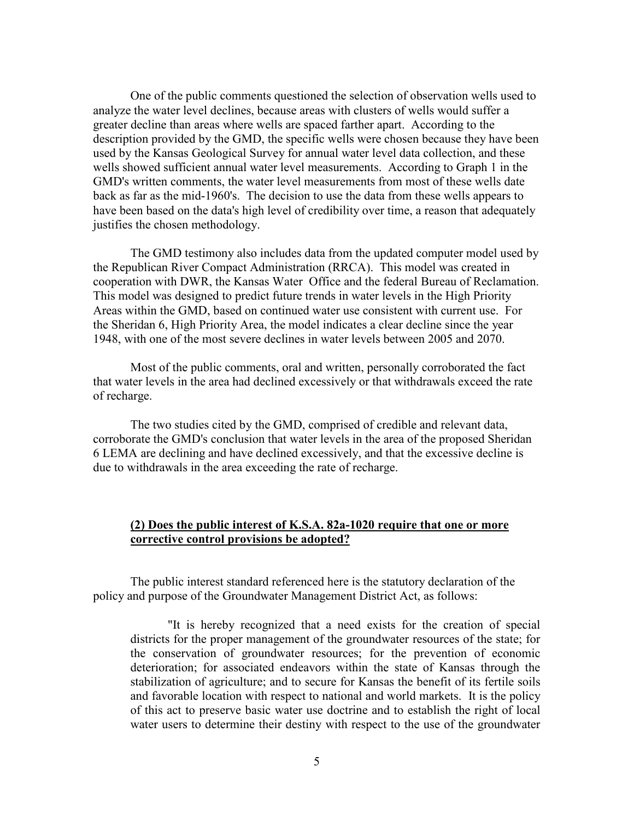One of the public comments questioned the selection of observation wells used to analyze the water level declines, because areas with clusters of wells would suffer a greater decline than areas where wells are spaced farther apart. According to the description provided by the GMD, the specific wells were chosen because they have been used by the Kansas Geological Survey for annual water level data collection, and these wells showed sufficient annual water level measurements. According to Graph 1 in the GMD's written comments, the water level measurements from most of these wells date back as far as the mid-1960's. The decision to use the data from these wells appears to have been based on the data's high level of credibility over time, a reason that adequately justifies the chosen methodology.

The GMD testimony also includes data from the updated computer model used by the Republican River Compact Administration (RRCA). This model was created in cooperation with DWR, the Kansas Water Office and the federal Bureau of Reclamation. This model was designed to predict future trends in water levels in the High Priority Areas within the GMD, based on continued water use consistent with current use. For the Sheridan 6, High Priority Area, the model indicates a clear decline since the year 1948, with one of the most severe declines in water levels between 2005 and 2070.

Most of the public comments, oral and written, personally corroborated the fact that water levels in the area had declined excessively or that withdrawals exceed the rate of recharge.

The two studies cited by the GMD, comprised of credible and relevant data, corroborate the GMD's conclusion that water levels in the area of the proposed Sheridan 6 LEMA are declining and have declined excessively, and that the excessive decline is due to withdrawals in the area exceeding the rate of recharge.

### **(2) Does the public interest of K.S.A. 82a-1020 require that one or more corrective control provisions be adopted?**

The public interest standard referenced here is the statutory declaration of the policy and purpose of the Groundwater Management District Act, as follows:

"It is hereby recognized that a need exists for the creation of special districts for the proper management of the groundwater resources of the state; for the conservation of groundwater resources; for the prevention of economic deterioration; for associated endeavors within the state of Kansas through the stabilization of agriculture; and to secure for Kansas the benefit of its fertile soils and favorable location with respect to national and world markets. It is the policy of this act to preserve basic water use doctrine and to establish the right of local water users to determine their destiny with respect to the use of the groundwater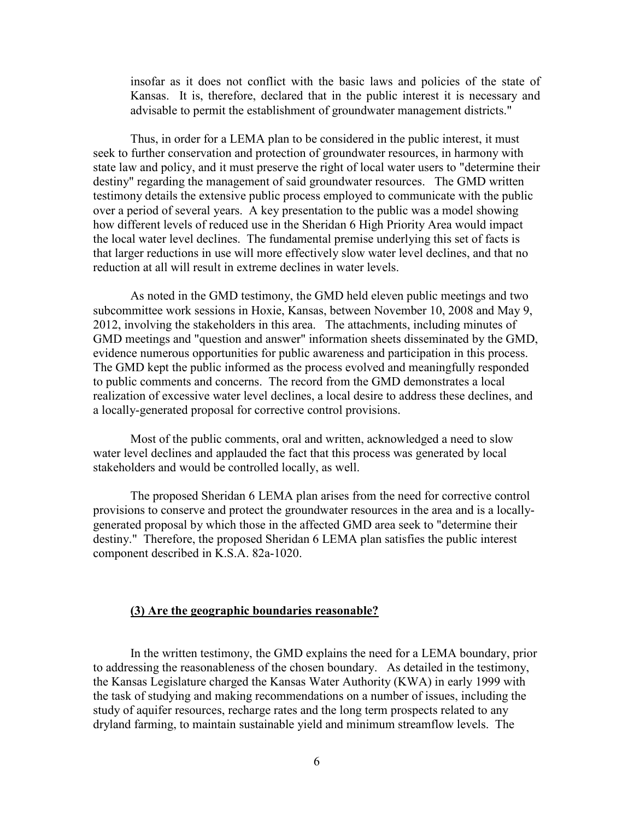insofar as it does not conflict with the basic laws and policies of the state of Kansas. It is, therefore, declared that in the public interest it is necessary and advisable to permit the establishment of groundwater management districts."

Thus, in order for a LEMA plan to be considered in the public interest, it must seek to further conservation and protection of groundwater resources, in harmony with state law and policy, and it must preserve the right of local water users to "determine their destiny" regarding the management of said groundwater resources. The GMD written testimony details the extensive public process employed to communicate with the public over a period of several years. A key presentation to the public was a model showing how different levels of reduced use in the Sheridan 6 High Priority Area would impact the local water level declines. The fundamental premise underlying this set of facts is that larger reductions in use will more effectively slow water level declines, and that no reduction at all will result in extreme declines in water levels.

As noted in the GMD testimony, the GMD held eleven public meetings and two subcommittee work sessions in Hoxie, Kansas, between November 10, 2008 and May 9, 2012, involving the stakeholders in this area. The attachments, including minutes of GMD meetings and "question and answer" information sheets disseminated by the GMD, evidence numerous opportunities for public awareness and participation in this process. The GMD kept the public informed as the process evolved and meaningfully responded to public comments and concerns. The record from the GMD demonstrates a local realization of excessive water level declines, a local desire to address these declines, and a locally-generated proposal for corrective control provisions.

Most of the public comments, oral and written, acknowledged a need to slow water level declines and applauded the fact that this process was generated by local stakeholders and would be controlled locally, as well.

The proposed Sheridan 6 LEMA plan arises from the need for corrective control provisions to conserve and protect the groundwater resources in the area and is a locallygenerated proposal by which those in the affected GMD area seek to "determine their destiny." Therefore, the proposed Sheridan 6 LEMA plan satisfies the public interest component described in K.S.A. 82a-1020.

#### **(3) Are the geographic boundaries reasonable?**

In the written testimony, the GMD explains the need for a LEMA boundary, prior to addressing the reasonableness of the chosen boundary. As detailed in the testimony, the Kansas Legislature charged the Kansas Water Authority (KWA) in early 1999 with the task of studying and making recommendations on a number of issues, including the study of aquifer resources, recharge rates and the long term prospects related to any dryland farming, to maintain sustainable yield and minimum streamflow levels. The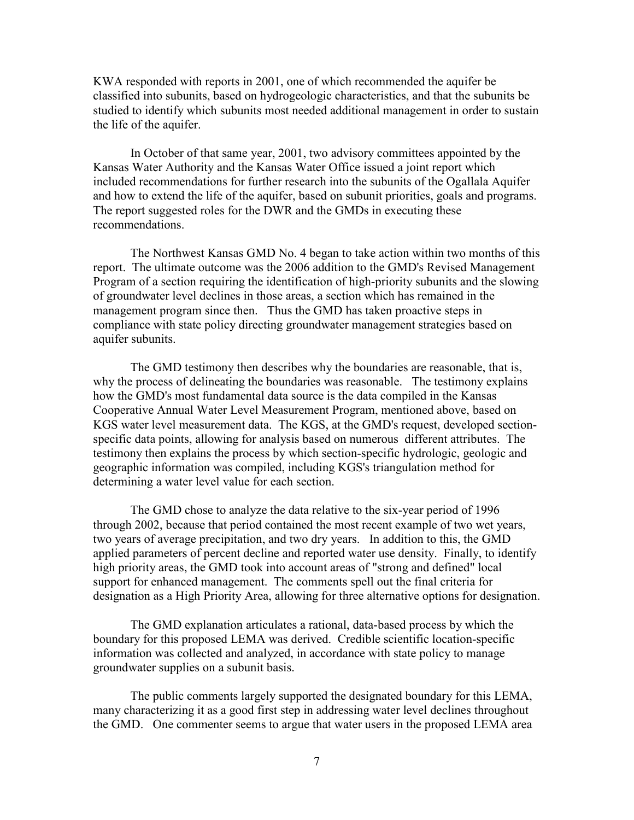KWA responded with reports in 2001, one of which recommended the aquifer be classified into subunits, based on hydrogeologic characteristics, and that the subunits be studied to identify which subunits most needed additional management in order to sustain the life of the aquifer.

In October of that same year, 2001, two advisory committees appointed by the Kansas Water Authority and the Kansas Water Office issued a joint report which included recommendations for further research into the subunits of the Ogallala Aquifer and how to extend the life of the aquifer, based on subunit priorities, goals and programs. The report suggested roles for the DWR and the GMDs in executing these recommendations.

The Northwest Kansas GMD No. 4 began to take action within two months of this report. The ultimate outcome was the 2006 addition to the GMD's Revised Management Program of a section requiring the identification of high-priority subunits and the slowing of groundwater level declines in those areas, a section which has remained in the management program since then. Thus the GMD has taken proactive steps in compliance with state policy directing groundwater management strategies based on aquifer subunits.

The GMD testimony then describes why the boundaries are reasonable, that is, why the process of delineating the boundaries was reasonable. The testimony explains how the GMD's most fundamental data source is the data compiled in the Kansas Cooperative Annual Water Level Measurement Program, mentioned above, based on KGS water level measurement data. The KGS, at the GMD's request, developed sectionspecific data points, allowing for analysis based on numerous different attributes. The testimony then explains the process by which section-specific hydrologic, geologic and geographic information was compiled, including KGS's triangulation method for determining a water level value for each section.

The GMD chose to analyze the data relative to the six-year period of 1996 through 2002, because that period contained the most recent example of two wet years, two years of average precipitation, and two dry years. In addition to this, the GMD applied parameters of percent decline and reported water use density. Finally, to identify high priority areas, the GMD took into account areas of "strong and defined" local support for enhanced management. The comments spell out the final criteria for designation as a High Priority Area, allowing for three alternative options for designation.

The GMD explanation articulates a rational, data-based process by which the boundary for this proposed LEMA was derived. Credible scientific location-specific information was collected and analyzed, in accordance with state policy to manage groundwater supplies on a subunit basis.

The public comments largely supported the designated boundary for this LEMA, many characterizing it as a good first step in addressing water level declines throughout the GMD. One commenter seems to argue that water users in the proposed LEMA area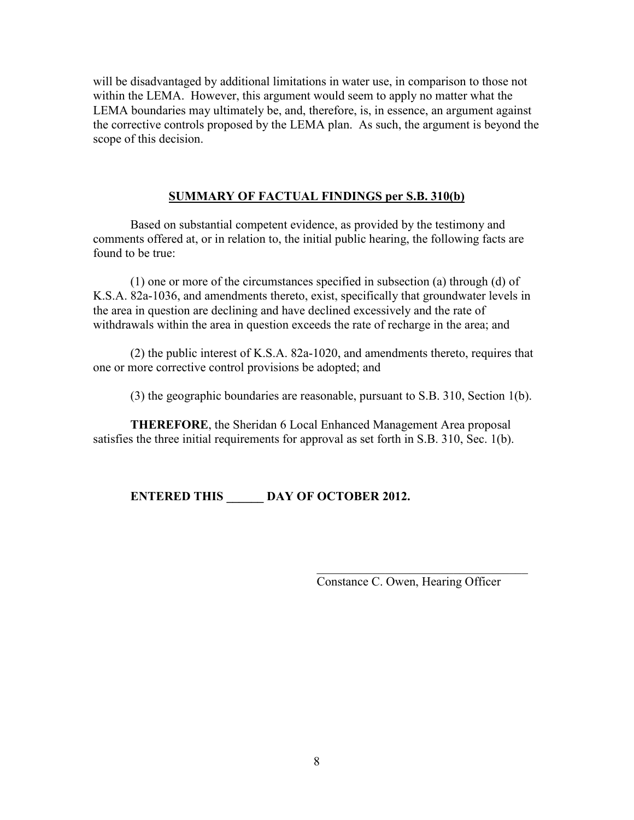will be disadvantaged by additional limitations in water use, in comparison to those not within the LEMA. However, this argument would seem to apply no matter what the LEMA boundaries may ultimately be, and, therefore, is, in essence, an argument against the corrective controls proposed by the LEMA plan. As such, the argument is beyond the scope of this decision.

## **SUMMARY OF FACTUAL FINDINGS per S.B. 310(b)**

Based on substantial competent evidence, as provided by the testimony and comments offered at, or in relation to, the initial public hearing, the following facts are found to be true:

(1) one or more of the circumstances specified in subsection (a) through (d) of K.S.A. 82a-1036, and amendments thereto, exist, specifically that groundwater levels in the area in question are declining and have declined excessively and the rate of withdrawals within the area in question exceeds the rate of recharge in the area; and

(2) the public interest of K.S.A. 82a-1020, and amendments thereto, requires that one or more corrective control provisions be adopted; and

(3) the geographic boundaries are reasonable, pursuant to S.B. 310, Section 1(b).

**THEREFORE**, the Sheridan 6 Local Enhanced Management Area proposal satisfies the three initial requirements for approval as set forth in S.B. 310, Sec. 1(b).

# **ENTERED THIS \_\_\_\_\_\_ DAY OF OCTOBER 2012.**

Constance C. Owen, Hearing Officer

 $\_$  . The contribution of the contribution of  $\mathcal{L}_\mathbf{z}$